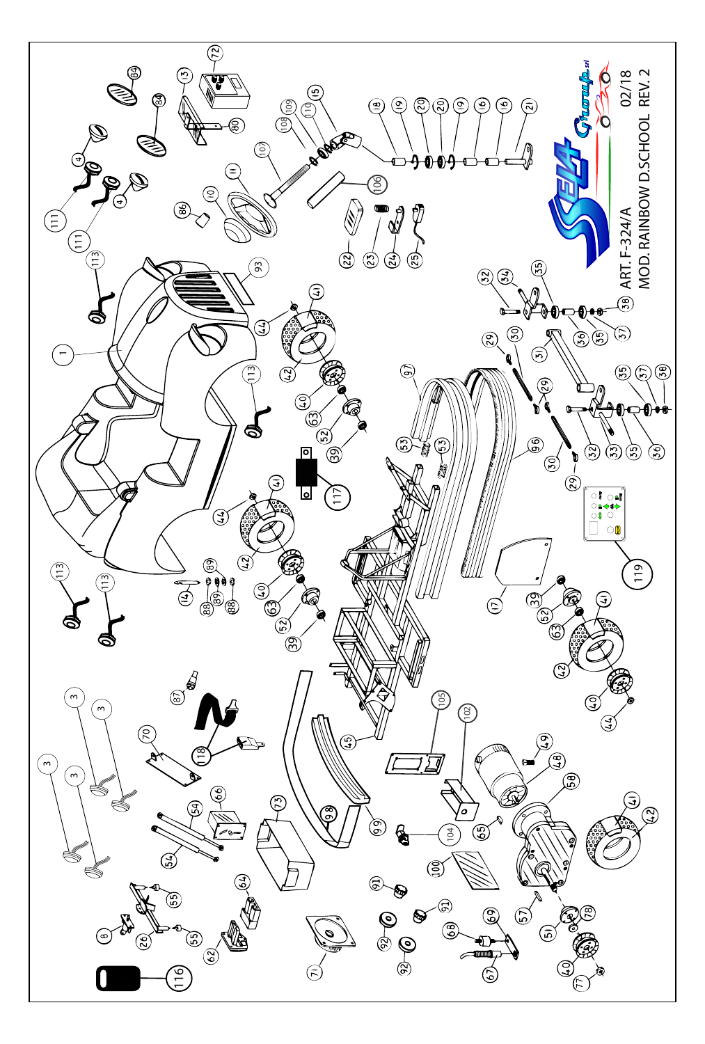